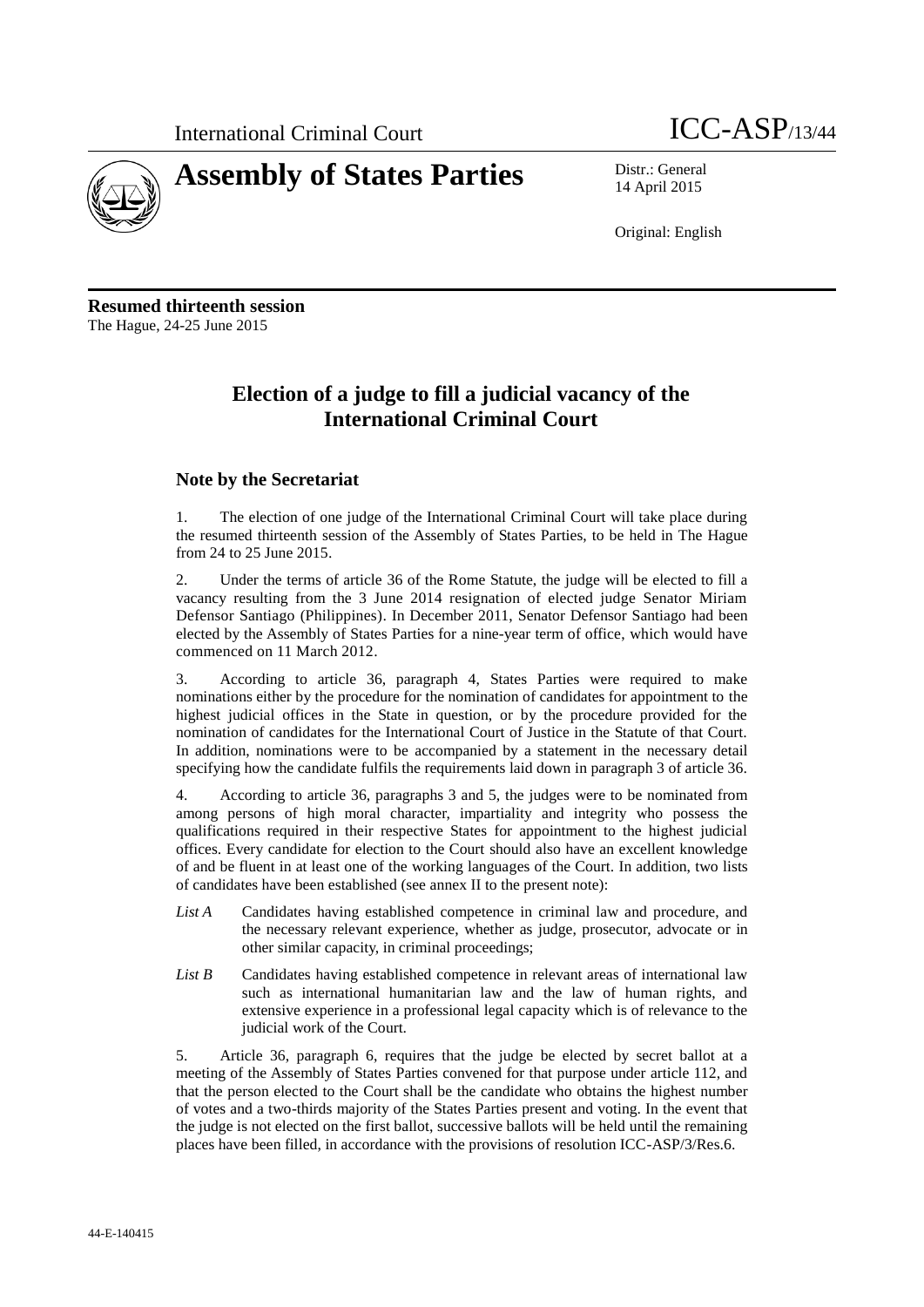



14 April 2015

Original: English

**Resumed thirteenth session** The Hague, 24-25 June 2015

# **Election of a judge to fill a judicial vacancy of the International Criminal Court**

## **Note by the Secretariat**

1. The election of one judge of the International Criminal Court will take place during the resumed thirteenth session of the Assembly of States Parties, to be held in The Hague from 24 to 25 June 2015.

2. Under the terms of article 36 of the Rome Statute, the judge will be elected to fill a vacancy resulting from the 3 June 2014 resignation of elected judge Senator Miriam Defensor Santiago (Philippines). In December 2011, Senator Defensor Santiago had been elected by the Assembly of States Parties for a nine-year term of office, which would have commenced on 11 March 2012.

3. According to article 36, paragraph 4, States Parties were required to make nominations either by the procedure for the nomination of candidates for appointment to the highest judicial offices in the State in question, or by the procedure provided for the nomination of candidates for the International Court of Justice in the Statute of that Court. In addition, nominations were to be accompanied by a statement in the necessary detail specifying how the candidate fulfils the requirements laid down in paragraph 3 of article 36.

4. According to article 36, paragraphs 3 and 5, the judges were to be nominated from among persons of high moral character, impartiality and integrity who possess the qualifications required in their respective States for appointment to the highest judicial offices. Every candidate for election to the Court should also have an excellent knowledge of and be fluent in at least one of the working languages of the Court. In addition, two lists of candidates have been established (see annex II to the present note):

- *List A* Candidates having established competence in criminal law and procedure, and the necessary relevant experience, whether as judge, prosecutor, advocate or in other similar capacity, in criminal proceedings;
- List B Candidates having established competence in relevant areas of international law such as international humanitarian law and the law of human rights, and extensive experience in a professional legal capacity which is of relevance to the judicial work of the Court.

5. Article 36, paragraph 6, requires that the judge be elected by secret ballot at a meeting of the Assembly of States Parties convened for that purpose under article 112, and that the person elected to the Court shall be the candidate who obtains the highest number of votes and a two-thirds majority of the States Parties present and voting. In the event that the judge is not elected on the first ballot, successive ballots will be held until the remaining places have been filled, in accordance with the provisions of resolution ICC-ASP/3/Res.6.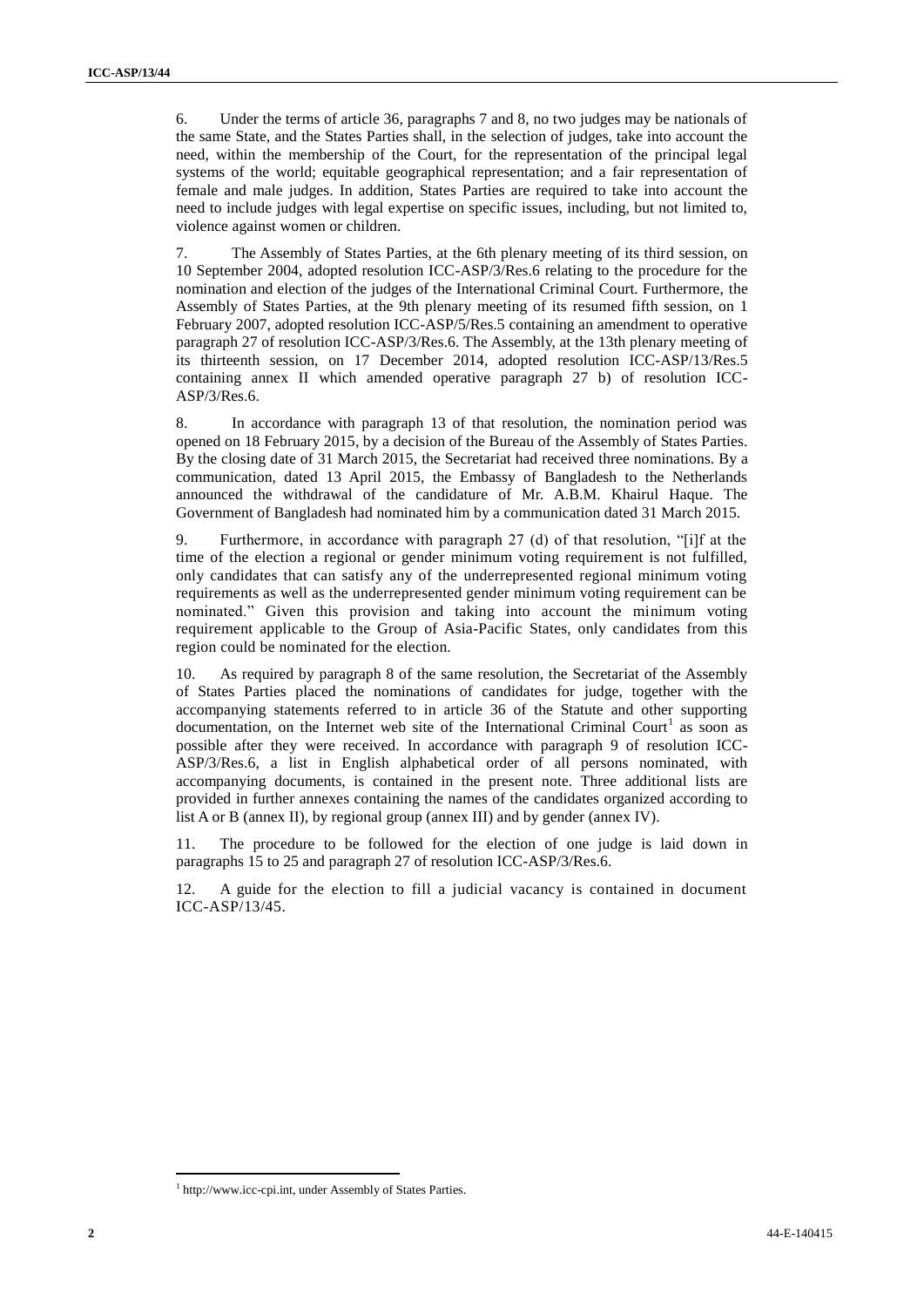6. Under the terms of article 36, paragraphs 7 and 8, no two judges may be nationals of the same State, and the States Parties shall, in the selection of judges, take into account the need, within the membership of the Court, for the representation of the principal legal systems of the world; equitable geographical representation; and a fair representation of female and male judges. In addition, States Parties are required to take into account the need to include judges with legal expertise on specific issues, including, but not limited to, violence against women or children.

7. The Assembly of States Parties, at the 6th plenary meeting of its third session, on 10 September 2004, adopted resolution ICC-ASP/3/Res.6 relating to the procedure for the nomination and election of the judges of the International Criminal Court. Furthermore, the Assembly of States Parties, at the 9th plenary meeting of its resumed fifth session, on 1 February 2007, adopted resolution ICC-ASP/5/Res.5 containing an amendment to operative paragraph 27 of resolution ICC-ASP/3/Res.6. The Assembly, at the 13th plenary meeting of its thirteenth session, on 17 December 2014, adopted resolution ICC-ASP/13/Res.5 containing annex II which amended operative paragraph 27 b) of resolution ICC-ASP/3/Res.6.

8. In accordance with paragraph 13 of that resolution, the nomination period was opened on 18 February 2015, by a decision of the Bureau of the Assembly of States Parties. By the closing date of 31 March 2015, the Secretariat had received three nominations. By a communication, dated 13 April 2015, the Embassy of Bangladesh to the Netherlands announced the withdrawal of the candidature of Mr. A.B.M. Khairul Haque. The Government of Bangladesh had nominated him by a communication dated 31 March 2015.

9. Furthermore, in accordance with paragraph 27 (d) of that resolution, "[i]f at the time of the election a regional or gender minimum voting requirement is not fulfilled, only candidates that can satisfy any of the underrepresented regional minimum voting requirements as well as the underrepresented gender minimum voting requirement can be nominated." Given this provision and taking into account the minimum voting requirement applicable to the Group of Asia-Pacific States, only candidates from this region could be nominated for the election.

10. As required by paragraph 8 of the same resolution, the Secretariat of the Assembly of States Parties placed the nominations of candidates for judge, together with the accompanying statements referred to in article 36 of the Statute and other supporting documentation, on the Internet web site of the International Criminal Court<sup>1</sup> as soon as possible after they were received. In accordance with paragraph 9 of resolution ICC-ASP/3/Res.6, a list in English alphabetical order of all persons nominated, with accompanying documents, is contained in the present note. Three additional lists are provided in further annexes containing the names of the candidates organized according to list A or B (annex II), by regional group (annex III) and by gender (annex IV).

11. The procedure to be followed for the election of one judge is laid down in paragraphs 15 to 25 and paragraph 27 of resolution ICC-ASP/3/Res.6.

12. A guide for the election to fill a judicial vacancy is contained in document ICC-ASP/13/45.

 $\overline{a}$ 

<sup>&</sup>lt;sup>1</sup> http://www.icc-cpi.int, under Assembly of States Parties.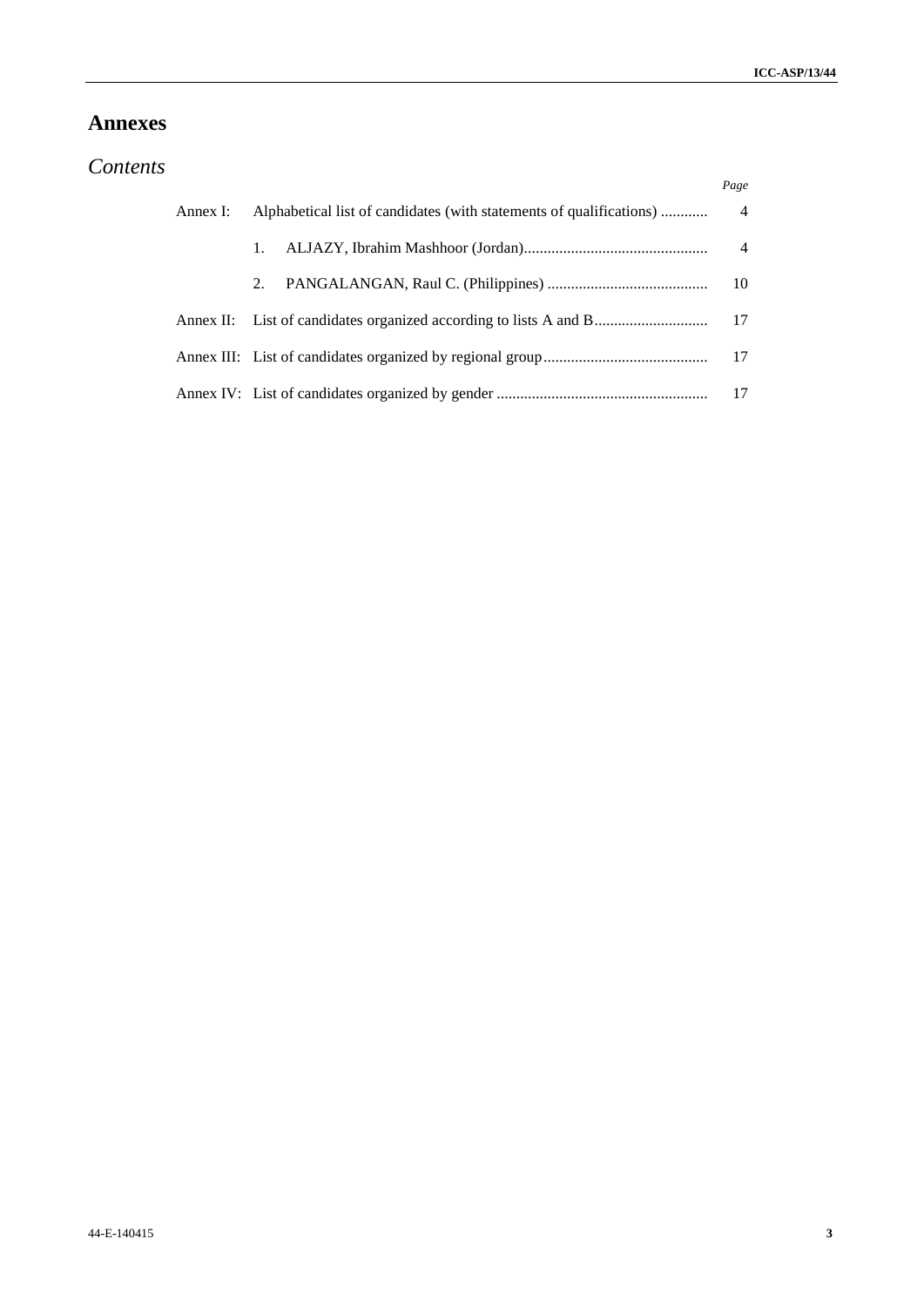## **Annexes**

| Contents |  |
|----------|--|

|          |                                                                     | Page |
|----------|---------------------------------------------------------------------|------|
| Annex I: | Alphabetical list of candidates (with statements of qualifications) | 4    |
|          | 1.                                                                  | 4    |
|          | 2.                                                                  | -10  |
|          | Annex II: List of candidates organized according to lists A and B   | 17   |
|          |                                                                     | -17  |
|          |                                                                     | 17   |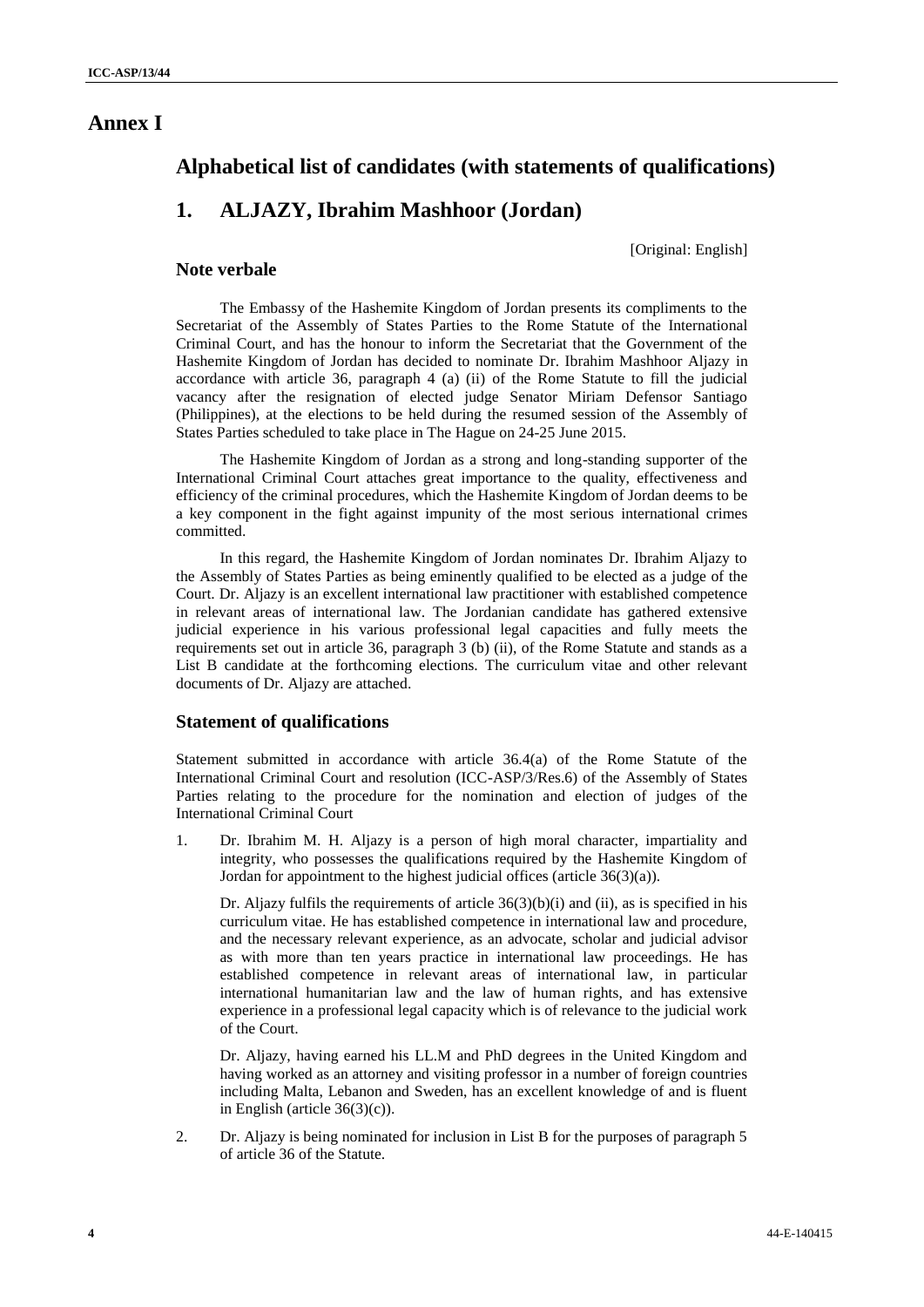## **Alphabetical list of candidates (with statements of qualifications)**

# **1. ALJAZY, Ibrahim Mashhoor (Jordan)**

[Original: English]

## **Note verbale**

The Embassy of the Hashemite Kingdom of Jordan presents its compliments to the Secretariat of the Assembly of States Parties to the Rome Statute of the International Criminal Court, and has the honour to inform the Secretariat that the Government of the Hashemite Kingdom of Jordan has decided to nominate Dr. Ibrahim Mashhoor Aljazy in accordance with article 36, paragraph 4 (a) (ii) of the Rome Statute to fill the judicial vacancy after the resignation of elected judge Senator Miriam Defensor Santiago (Philippines), at the elections to be held during the resumed session of the Assembly of States Parties scheduled to take place in The Hague on 24-25 June 2015.

The Hashemite Kingdom of Jordan as a strong and long-standing supporter of the International Criminal Court attaches great importance to the quality, effectiveness and efficiency of the criminal procedures, which the Hashemite Kingdom of Jordan deems to be a key component in the fight against impunity of the most serious international crimes committed.

In this regard, the Hashemite Kingdom of Jordan nominates Dr. Ibrahim Aljazy to the Assembly of States Parties as being eminently qualified to be elected as a judge of the Court. Dr. Aljazy is an excellent international law practitioner with established competence in relevant areas of international law. The Jordanian candidate has gathered extensive judicial experience in his various professional legal capacities and fully meets the requirements set out in article 36, paragraph 3 (b) (ii), of the Rome Statute and stands as a List B candidate at the forthcoming elections. The curriculum vitae and other relevant documents of Dr. Aljazy are attached.

## **Statement of qualifications**

Statement submitted in accordance with article 36.4(a) of the Rome Statute of the International Criminal Court and resolution (ICC-ASP/3/Res.6) of the Assembly of States Parties relating to the procedure for the nomination and election of judges of the International Criminal Court

1. Dr. Ibrahim M. H. Aljazy is a person of high moral character, impartiality and integrity, who possesses the qualifications required by the Hashemite Kingdom of Jordan for appointment to the highest judicial offices (article 36(3)(a)).

Dr. Aljazy fulfils the requirements of article 36(3)(b)(i) and (ii), as is specified in his curriculum vitae. He has established competence in international law and procedure, and the necessary relevant experience, as an advocate, scholar and judicial advisor as with more than ten years practice in international law proceedings. He has established competence in relevant areas of international law, in particular international humanitarian law and the law of human rights, and has extensive experience in a professional legal capacity which is of relevance to the judicial work of the Court.

Dr. Aljazy, having earned his LL.M and PhD degrees in the United Kingdom and having worked as an attorney and visiting professor in a number of foreign countries including Malta, Lebanon and Sweden, has an excellent knowledge of and is fluent in English (article  $36(3)(c)$ ).

2. Dr. Aljazy is being nominated for inclusion in List B for the purposes of paragraph 5 of article 36 of the Statute.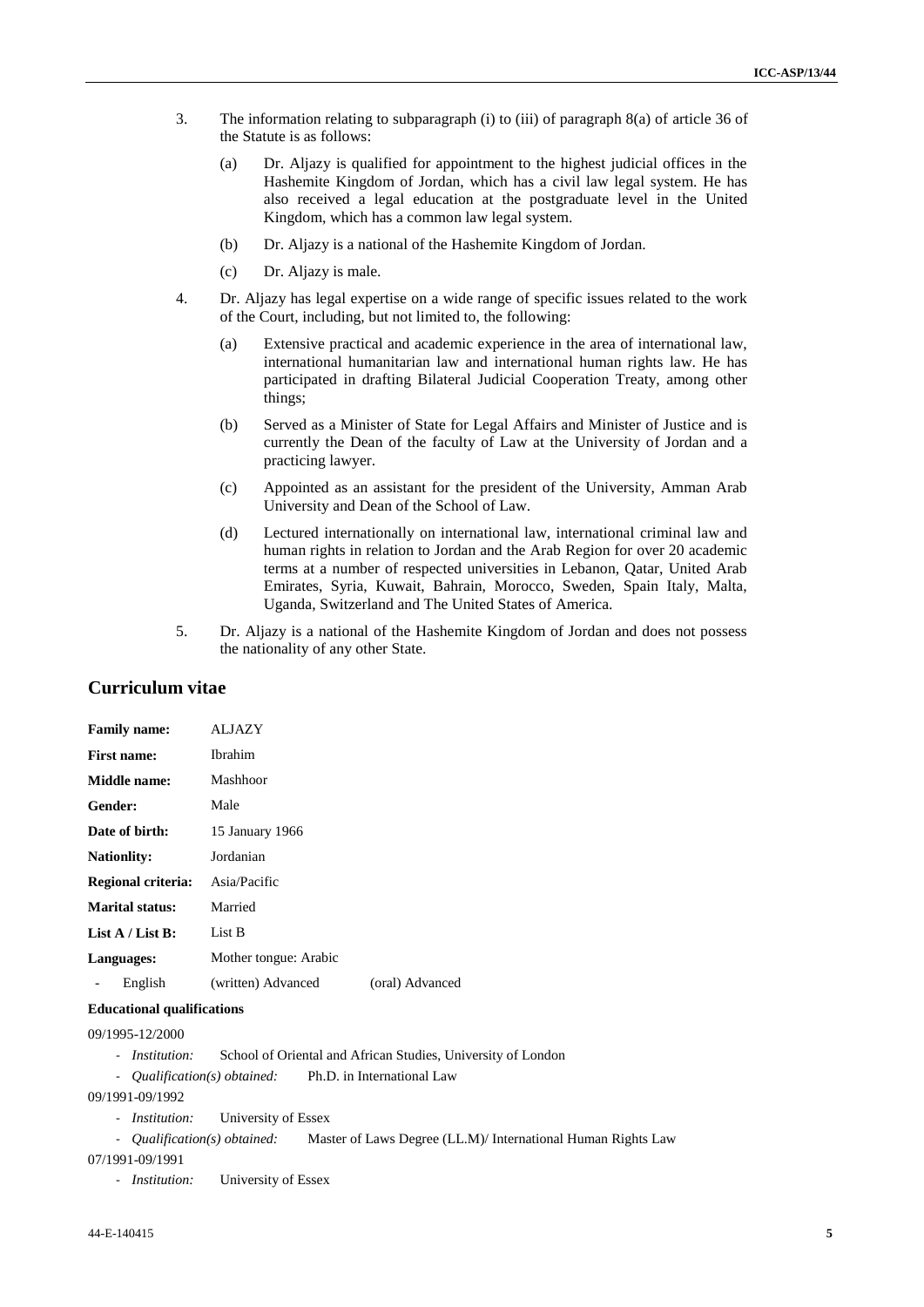- 3. The information relating to subparagraph (i) to (iii) of paragraph 8(a) of article 36 of the Statute is as follows:
	- (a) Dr. Aljazy is qualified for appointment to the highest judicial offices in the Hashemite Kingdom of Jordan, which has a civil law legal system. He has also received a legal education at the postgraduate level in the United Kingdom, which has a common law legal system.
	- (b) Dr. Aljazy is a national of the Hashemite Kingdom of Jordan.
	- (c) Dr. Aljazy is male.
- 4. Dr. Aljazy has legal expertise on a wide range of specific issues related to the work of the Court, including, but not limited to, the following:
	- (a) Extensive practical and academic experience in the area of international law, international humanitarian law and international human rights law. He has participated in drafting Bilateral Judicial Cooperation Treaty, among other things;
	- (b) Served as a Minister of State for Legal Affairs and Minister of Justice and is currently the Dean of the faculty of Law at the University of Jordan and a practicing lawyer.
	- (c) Appointed as an assistant for the president of the University, Amman Arab University and Dean of the School of Law.
	- (d) Lectured internationally on international law, international criminal law and human rights in relation to Jordan and the Arab Region for over 20 academic terms at a number of respected universities in Lebanon, Qatar, United Arab Emirates, Syria, Kuwait, Bahrain, Morocco, Sweden, Spain Italy, Malta, Uganda, Switzerland and The United States of America.
- 5. Dr. Aljazy is a national of the Hashemite Kingdom of Jordan and does not possess the nationality of any other State.

## **Curriculum vitae**

| <b>Family name:</b>    | ALJAZY                |                 |  |  |  |
|------------------------|-----------------------|-----------------|--|--|--|
| <b>First name:</b>     | <b>Ibrahim</b>        |                 |  |  |  |
| Middle name:           | Mashhoor              |                 |  |  |  |
| <b>Gender:</b>         | Male                  |                 |  |  |  |
| Date of birth:         | 15 January 1966       |                 |  |  |  |
| <b>Nationlity:</b>     | Jordanian             |                 |  |  |  |
| Regional criteria:     | Asia/Pacific          |                 |  |  |  |
| <b>Marital status:</b> | Married               |                 |  |  |  |
| List $A /$ List B:     | List B                |                 |  |  |  |
| Languages:             | Mother tongue: Arabic |                 |  |  |  |
| English                | (written) Advanced    | (oral) Advanced |  |  |  |

#### **Educational qualifications**

09/1995-12/2000

- *Institution:* School of Oriental and African Studies, University of London
- *Qualification(s) obtained:* Ph.D. in International Law

09/1991-09/1992

- *Institution:* University of Essex
- *Qualification(s) obtained:* Master of Laws Degree (LL.M)/ International Human Rights Law

07/1991-09/1991

- *Institution:* University of Essex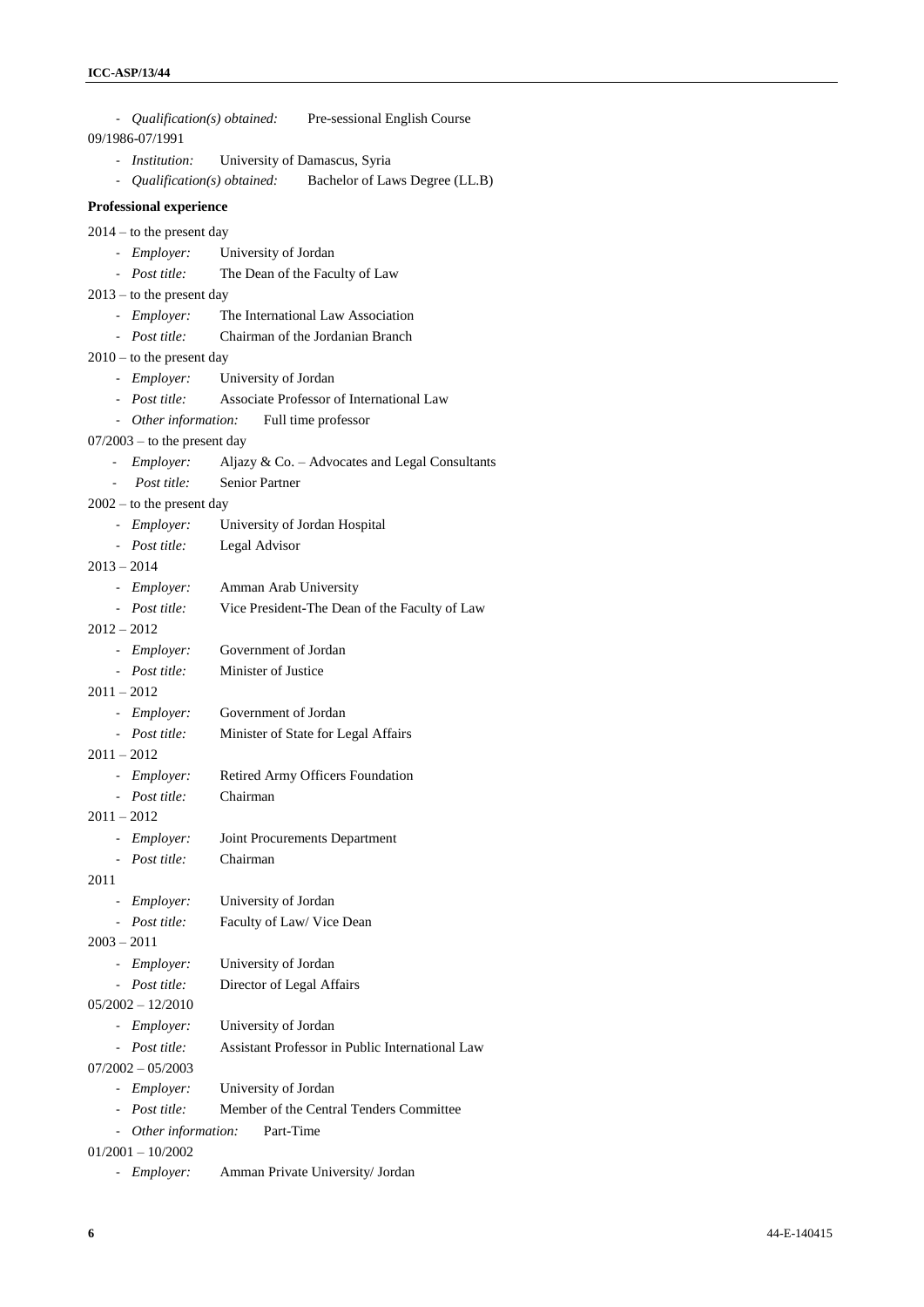|               |                                |                                           | - Qualification(s) obtained: Pre-sessional English Course |
|---------------|--------------------------------|-------------------------------------------|-----------------------------------------------------------|
|               | 09/1986-07/1991                |                                           |                                                           |
|               | - Institution:                 | University of Damascus, Syria             |                                                           |
|               | - Qualification(s) obtained:   |                                           | Bachelor of Laws Degree (LL.B)                            |
|               | <b>Professional experience</b> |                                           |                                                           |
|               | $2014 -$ to the present day    |                                           |                                                           |
|               | - Employer:                    | University of Jordan                      |                                                           |
|               | - Post title:                  |                                           | The Dean of the Faculty of Law                            |
|               | $2013 -$ to the present day    |                                           |                                                           |
|               |                                |                                           | - <i>Employer</i> : The International Law Association     |
|               |                                |                                           | - <i>Post title</i> : Chairman of the Jordanian Branch    |
|               | $2010 -$ to the present day    |                                           |                                                           |
|               |                                | - Employer: University of Jordan          |                                                           |
|               |                                |                                           | - Post title: Associate Professor of International Law    |
|               |                                | - Other information: Full time professor  |                                                           |
|               | $07/2003$ – to the present day |                                           |                                                           |
|               | - Employer:                    |                                           | Aljazy & Co. - Advocates and Legal Consultants            |
|               | Post title:                    | Senior Partner                            |                                                           |
|               | $2002 -$ to the present day    |                                           |                                                           |
|               |                                | - Employer: University of Jordan Hospital |                                                           |
|               | - Post title: Legal Advisor    |                                           |                                                           |
| $2013 - 2014$ |                                |                                           |                                                           |
|               | - Employer:                    | Amman Arab University                     |                                                           |
|               | - Post title:                  |                                           | Vice President-The Dean of the Faculty of Law             |
| $2012 - 2012$ |                                |                                           |                                                           |
|               | - Employer:                    | Government of Jordan                      |                                                           |
|               | - Post title:                  | Minister of Justice                       |                                                           |
| $2011 - 2012$ |                                |                                           |                                                           |
|               | - <i>Employer</i> :            | Government of Jordan                      |                                                           |
|               | - Post title:                  |                                           | Minister of State for Legal Affairs                       |
| $2011 - 2012$ |                                |                                           |                                                           |
|               | - Employer:                    |                                           | Retired Army Officers Foundation                          |
|               | - Post title:                  | Chairman                                  |                                                           |
| $2011 - 2012$ |                                |                                           |                                                           |
| $\sim$        | <i>Employer:</i>               |                                           | Joint Procurements Department                             |
|               | - Post title:                  | Chairman                                  |                                                           |
| 2011          |                                |                                           |                                                           |
| $\sim$        | Employer:                      | University of Jordan                      |                                                           |
| $\sim$        | Post title:                    | Faculty of Law/ Vice Dean                 |                                                           |
| $2003 - 2011$ |                                |                                           |                                                           |
|               | - Employer:                    | University of Jordan                      |                                                           |
|               | - Post title:                  | Director of Legal Affairs                 |                                                           |
|               | $05/2002 - 12/2010$            |                                           |                                                           |
|               | - Employer:                    | University of Jordan                      |                                                           |
|               | - Post title:                  |                                           | Assistant Professor in Public International Law           |
|               | $07/2002 - 05/2003$            |                                           |                                                           |
| $\sim$        | <i>Employer:</i>               | University of Jordan                      |                                                           |
|               | - Post title:                  |                                           | Member of the Central Tenders Committee                   |
|               | - Other information:           | Part-Time                                 |                                                           |
|               | $01/2001 - 10/2002$            |                                           |                                                           |
| $\sim$        | <i>Employer:</i>               |                                           | Amman Private University/ Jordan                          |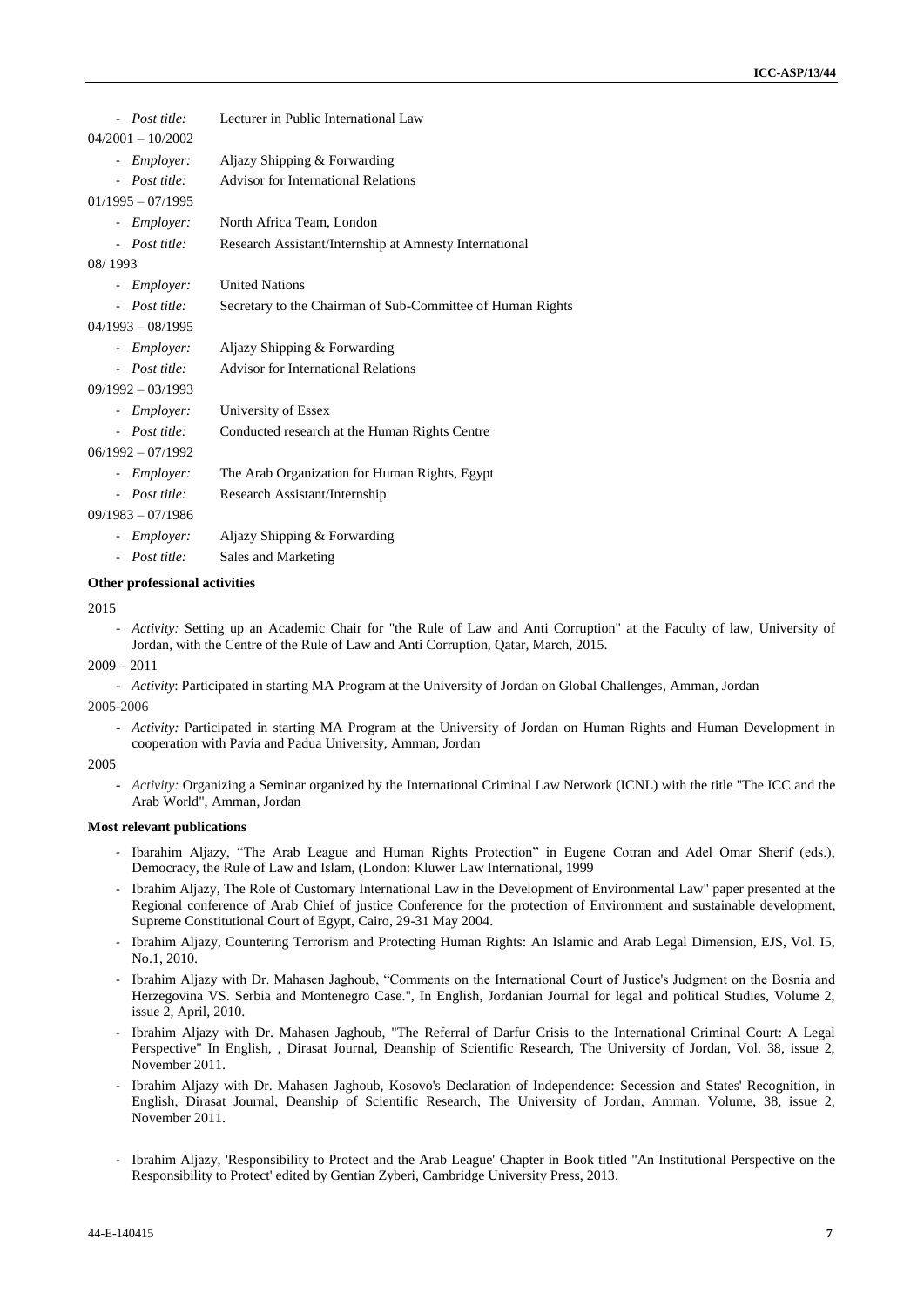| Lecturer in Public International Law                       |
|------------------------------------------------------------|
|                                                            |
| Aljazy Shipping & Forwarding                               |
| <b>Advisor for International Relations</b>                 |
|                                                            |
| North Africa Team, London                                  |
| Research Assistant/Internship at Amnesty International     |
|                                                            |
| <b>United Nations</b>                                      |
| Secretary to the Chairman of Sub-Committee of Human Rights |
|                                                            |
| Aljazy Shipping & Forwarding                               |
| <b>Advisor for International Relations</b>                 |
|                                                            |
| University of Essex                                        |
| Conducted research at the Human Rights Centre              |
|                                                            |
| The Arab Organization for Human Rights, Egypt              |
| Research Assistant/Internship                              |
|                                                            |
| Aljazy Shipping & Forwarding                               |
| Sales and Marketing                                        |
|                                                            |

#### **Other professional activities**

2015

- *Activity:* Setting up an Academic Chair for "the Rule of Law and Anti Corruption" at the Faculty of law, University of Jordan, with the Centre of the Rule of Law and Anti Corruption, Qatar, March, 2015.

#### $2009 - 2011$

- *Activity*: Participated in starting MA Program at the University of Jordan on Global Challenges, Amman, Jordan

2005-2006

- *Activity:* Participated in starting MA Program at the University of Jordan on Human Rights and Human Development in cooperation with Pavia and Padua University, Amman, Jordan

#### 2005

- *Activity:* Organizing a Seminar organized by the International Criminal Law Network (ICNL) with the title "The ICC and the Arab World", Amman, Jordan

#### **Most relevant publications**

- Ibarahim Aljazy, "The Arab League and Human Rights Protection" in Eugene Cotran and Adel Omar Sherif (eds.), Democracy, the Rule of Law and Islam, (London: Kluwer Law International, 1999
- Ibrahim Aljazy, The Role of Customary International Law in the Development of Environmental Law" paper presented at the Regional conference of Arab Chief of justice Conference for the protection of Environment and sustainable development, Supreme Constitutional Court of Egypt, Cairo, 29-31 May 2004.
- Ibrahim Aljazy, Countering Terrorism and Protecting Human Rights: An Islamic and Arab Legal Dimension, EJS, Vol. I5, No.1, 2010.
- Ibrahim Aljazy with Dr. Mahasen Jaghoub, "Comments on the International Court of Justice's Judgment on the Bosnia and Herzegovina VS. Serbia and Montenegro Case.", In English, Jordanian Journal for legal and political Studies, Volume 2, issue 2, April, 2010.
- Ibrahim Aljazy with Dr. Mahasen Jaghoub, "The Referral of Darfur Crisis to the International Criminal Court: A Legal Perspective" In English, , Dirasat Journal, Deanship of Scientific Research, The University of Jordan, Vol. 38, issue 2, November 2011.
- Ibrahim Aljazy with Dr. Mahasen Jaghoub, Kosovo's Declaration of Independence: Secession and States' Recognition, in English, Dirasat Journal, Deanship of Scientific Research, The University of Jordan, Amman. Volume, 38, issue 2, November 2011.
- Ibrahim Aljazy, 'Responsibility to Protect and the Arab League' Chapter in Book titled "An Institutional Perspective on the Responsibility to Protect' edited by Gentian Zyberi, Cambridge University Press, 2013.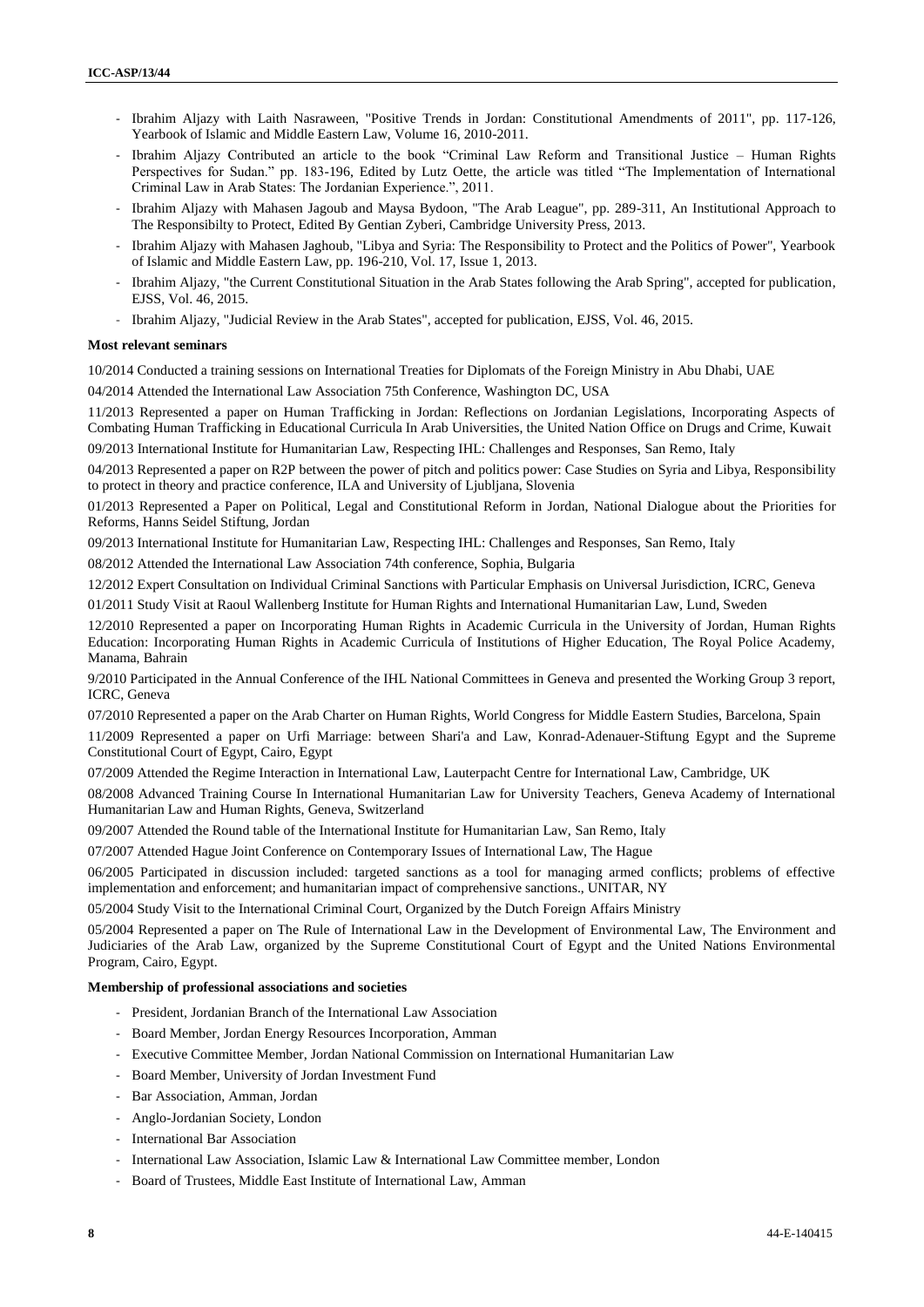- Ibrahim Aljazy with Laith Nasraween, "Positive Trends in Jordan: Constitutional Amendments of 2011", pp. 117-126, Yearbook of Islamic and Middle Eastern Law, Volume 16, 2010-2011.
- Ibrahim Aljazy Contributed an article to the book "Criminal Law Reform and Transitional Justice Human Rights Perspectives for Sudan." pp. 183-196, Edited by Lutz Oette, the article was titled "The Implementation of International Criminal Law in Arab States: The Jordanian Experience.", 2011.
- Ibrahim Aljazy with Mahasen Jagoub and Maysa Bydoon, "The Arab League", pp. 289-311, An Institutional Approach to The Responsibilty to Protect, Edited By Gentian Zyberi, Cambridge University Press, 2013.
- Ibrahim Aljazy with Mahasen Jaghoub, "Libya and Syria: The Responsibility to Protect and the Politics of Power", Yearbook of Islamic and Middle Eastern Law, pp. 196-210, Vol. 17, Issue 1, 2013.
- Ibrahim Aljazy, "the Current Constitutional Situation in the Arab States following the Arab Spring", accepted for publication, EJSS, Vol. 46, 2015.
- Ibrahim Aljazy, "Judicial Review in the Arab States", accepted for publication, EJSS, Vol. 46, 2015.

#### **Most relevant seminars**

10/2014 Conducted a training sessions on International Treaties for Diplomats of the Foreign Ministry in Abu Dhabi, UAE

04/2014 Attended the International Law Association 75th Conference, Washington DC, USA

11/2013 Represented a paper on Human Trafficking in Jordan: Reflections on Jordanian Legislations, Incorporating Aspects of Combating Human Trafficking in Educational Curricula In Arab Universities, the United Nation Office on Drugs and Crime, Kuwait

09/2013 International Institute for Humanitarian Law, Respecting IHL: Challenges and Responses, San Remo, Italy

04/2013 Represented a paper on R2P between the power of pitch and politics power: Case Studies on Syria and Libya, Responsibility to protect in theory and practice conference, ILA and University of Ljubljana, Slovenia

01/2013 Represented a Paper on Political, Legal and Constitutional Reform in Jordan, National Dialogue about the Priorities for Reforms, Hanns Seidel Stiftung, Jordan

09/2013 International Institute for Humanitarian Law, Respecting IHL: Challenges and Responses, San Remo, Italy

08/2012 Attended the International Law Association 74th conference, Sophia, Bulgaria

12/2012 Expert Consultation on Individual Criminal Sanctions with Particular Emphasis on Universal Jurisdiction, ICRC, Geneva

01/2011 Study Visit at Raoul Wallenberg Institute for Human Rights and International Humanitarian Law, Lund, Sweden

12/2010 Represented a paper on Incorporating Human Rights in Academic Curricula in the University of Jordan, Human Rights Education: Incorporating Human Rights in Academic Curricula of Institutions of Higher Education, The Royal Police Academy, Manama, Bahrain

9/2010 Participated in the Annual Conference of the IHL National Committees in Geneva and presented the Working Group 3 report, ICRC, Geneva

07/2010 Represented a paper on the Arab Charter on Human Rights, World Congress for Middle Eastern Studies, Barcelona, Spain

11/2009 Represented a paper on Urfi Marriage: between Shari'a and Law, Konrad-Adenauer-Stiftung Egypt and the Supreme Constitutional Court of Egypt, Cairo, Egypt

07/2009 Attended the Regime Interaction in International Law, Lauterpacht Centre for International Law, Cambridge, UK

08/2008 Advanced Training Course In International Humanitarian Law for University Teachers, Geneva Academy of International Humanitarian Law and Human Rights, Geneva, Switzerland

09/2007 Attended the Round table of the International Institute for Humanitarian Law, San Remo, Italy

07/2007 Attended Hague Joint Conference on Contemporary Issues of International Law, The Hague

06/2005 Participated in discussion included: targeted sanctions as a tool for managing armed conflicts; problems of effective implementation and enforcement; and humanitarian impact of comprehensive sanctions., UNITAR, NY

05/2004 Study Visit to the International Criminal Court, Organized by the Dutch Foreign Affairs Ministry

05/2004 Represented a paper on The Rule of International Law in the Development of Environmental Law, The Environment and Judiciaries of the Arab Law, organized by the Supreme Constitutional Court of Egypt and the United Nations Environmental Program, Cairo, Egypt.

#### **Membership of professional associations and societies**

- President, Jordanian Branch of the International Law Association
- Board Member, Jordan Energy Resources Incorporation, Amman
- Executive Committee Member, Jordan National Commission on International Humanitarian Law
- Board Member, University of Jordan Investment Fund
- Bar Association, Amman, Jordan
- Anglo-Jordanian Society, London
- International Bar Association
- International Law Association, Islamic Law & International Law Committee member, London
- Board of Trustees, Middle East Institute of International Law, Amman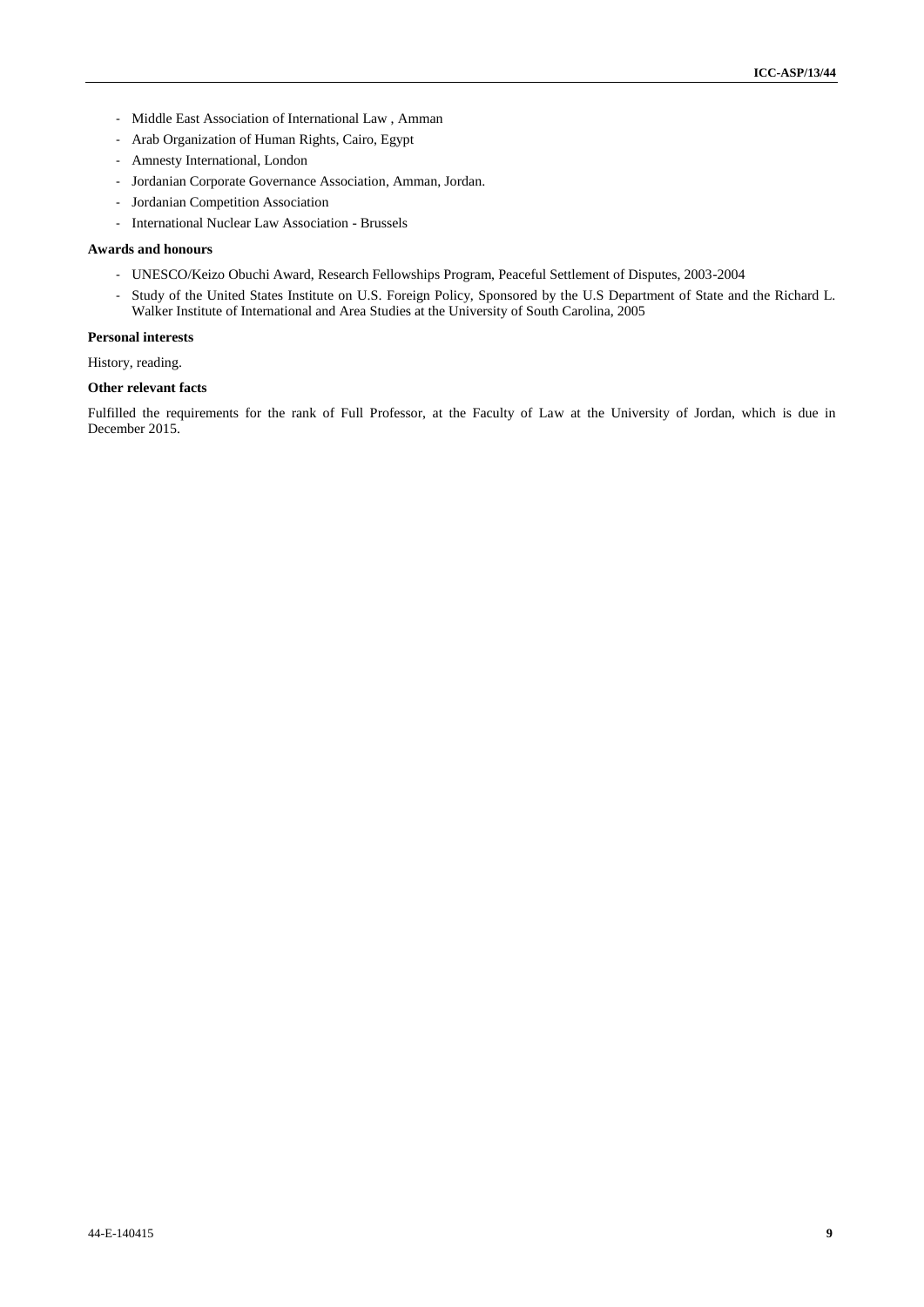- Middle East Association of International Law , Amman
- Arab Organization of Human Rights, Cairo, Egypt
- Amnesty International, London
- Jordanian Corporate Governance Association, Amman, Jordan.
- Jordanian Competition Association
- International Nuclear Law Association Brussels

#### **Awards and honours**

- UNESCO/Keizo Obuchi Award, Research Fellowships Program, Peaceful Settlement of Disputes, 2003-2004
- Study of the United States Institute on U.S. Foreign Policy, Sponsored by the U.S Department of State and the Richard L. Walker Institute of International and Area Studies at the University of South Carolina, 2005

#### **Personal interests**

History, reading.

#### **Other relevant facts**

Fulfilled the requirements for the rank of Full Professor, at the Faculty of Law at the University of Jordan, which is due in December 2015.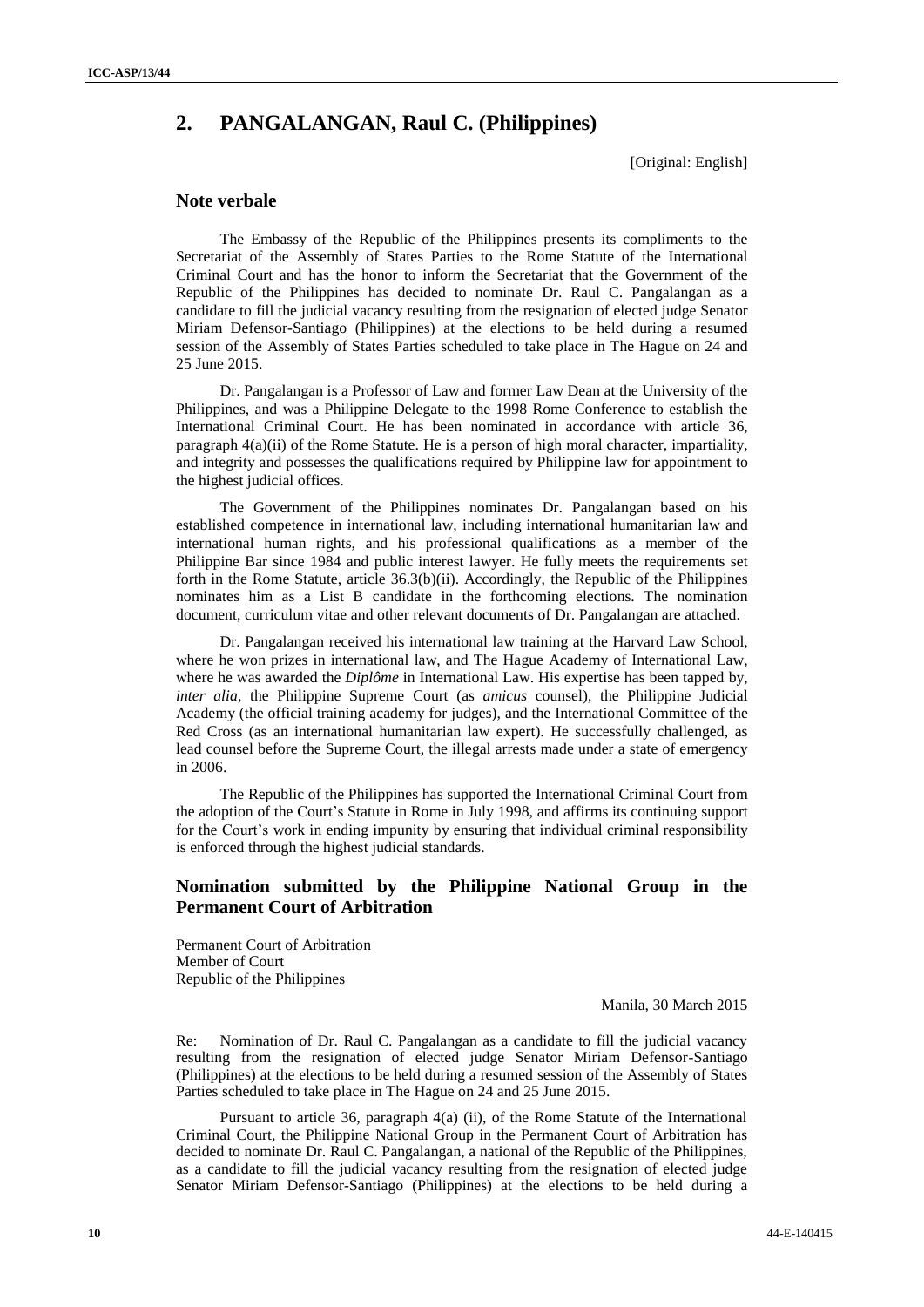# **2. PANGALANGAN, Raul C. (Philippines)**

[Original: English]

## **Note verbale**

The Embassy of the Republic of the Philippines presents its compliments to the Secretariat of the Assembly of States Parties to the Rome Statute of the International Criminal Court and has the honor to inform the Secretariat that the Government of the Republic of the Philippines has decided to nominate Dr. Raul C. Pangalangan as a candidate to fill the judicial vacancy resulting from the resignation of elected judge Senator Miriam Defensor-Santiago (Philippines) at the elections to be held during a resumed session of the Assembly of States Parties scheduled to take place in The Hague on 24 and 25 June 2015.

Dr. Pangalangan is a Professor of Law and former Law Dean at the University of the Philippines, and was a Philippine Delegate to the 1998 Rome Conference to establish the International Criminal Court. He has been nominated in accordance with article 36, paragraph 4(a)(ii) of the Rome Statute. He is a person of high moral character, impartiality, and integrity and possesses the qualifications required by Philippine law for appointment to the highest judicial offices.

The Government of the Philippines nominates Dr. Pangalangan based on his established competence in international law, including international humanitarian law and international human rights, and his professional qualifications as a member of the Philippine Bar since 1984 and public interest lawyer. He fully meets the requirements set forth in the Rome Statute, article 36.3(b)(ii). Accordingly, the Republic of the Philippines nominates him as a List B candidate in the forthcoming elections. The nomination document, curriculum vitae and other relevant documents of Dr. Pangalangan are attached.

Dr. Pangalangan received his international law training at the Harvard Law School, where he won prizes in international law, and The Hague Academy of International Law, where he was awarded the *Diplôme* in International Law. His expertise has been tapped by, *inter alia,* the Philippine Supreme Court (as *amicus* counsel), the Philippine Judicial Academy (the official training academy for judges), and the International Committee of the Red Cross (as an international humanitarian law expert). He successfully challenged, as lead counsel before the Supreme Court, the illegal arrests made under a state of emergency in 2006.

The Republic of the Philippines has supported the International Criminal Court from the adoption of the Court's Statute in Rome in July 1998, and affirms its continuing support for the Court's work in ending impunity by ensuring that individual criminal responsibility is enforced through the highest judicial standards.

## **Nomination submitted by the Philippine National Group in the Permanent Court of Arbitration**

Permanent Court of Arbitration Member of Court Republic of the Philippines

Manila, 30 March 2015

Re: Nomination of Dr. Raul C. Pangalangan as a candidate to fill the judicial vacancy resulting from the resignation of elected judge Senator Miriam Defensor-Santiago (Philippines) at the elections to be held during a resumed session of the Assembly of States Parties scheduled to take place in The Hague on 24 and 25 June 2015.

Pursuant to article 36, paragraph 4(a) (ii), of the Rome Statute of the International Criminal Court, the Philippine National Group in the Permanent Court of Arbitration has decided to nominate Dr. Raul C. Pangalangan, a national of the Republic of the Philippines, as a candidate to fill the judicial vacancy resulting from the resignation of elected judge Senator Miriam Defensor-Santiago (Philippines) at the elections to be held during a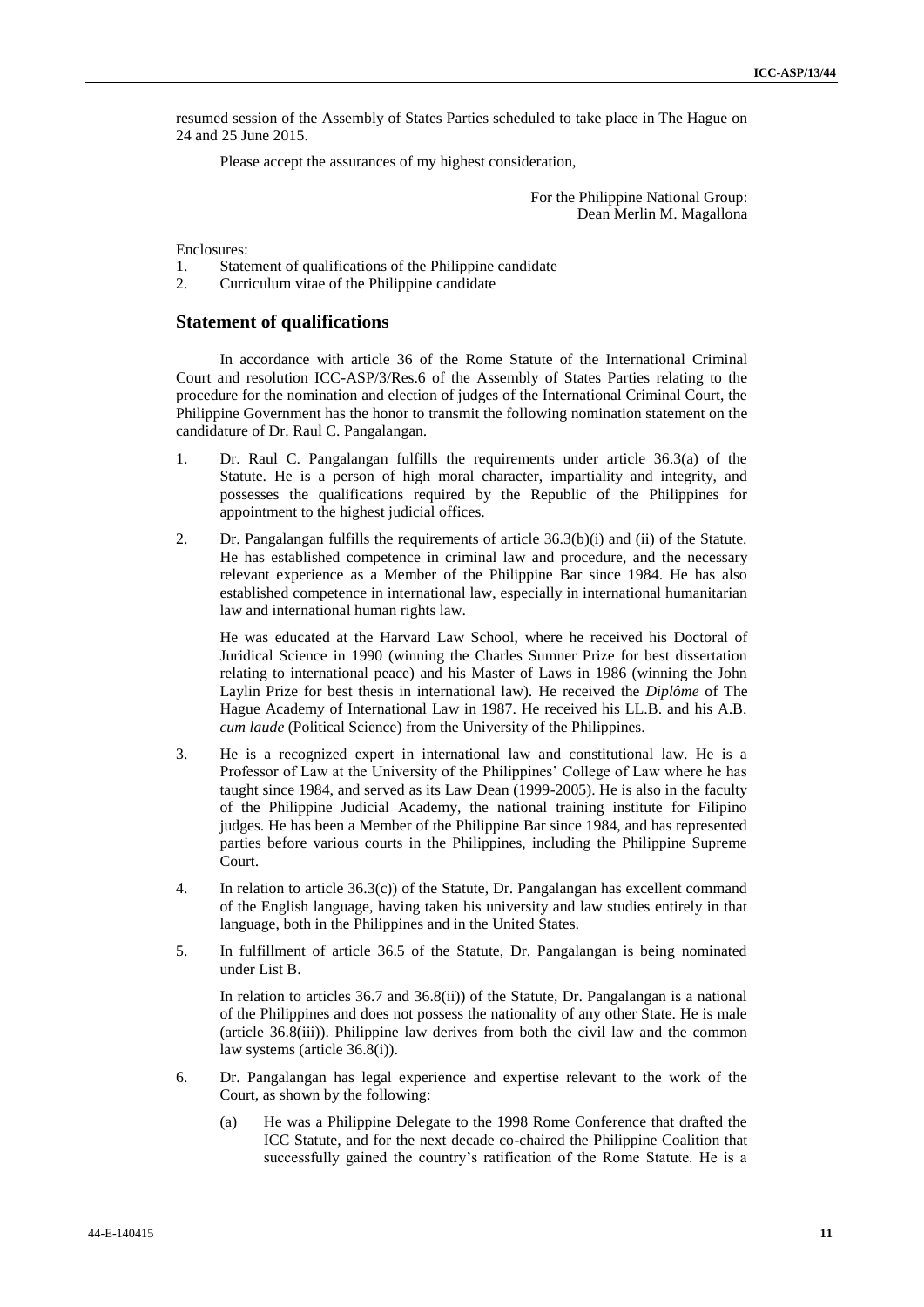resumed session of the Assembly of States Parties scheduled to take place in The Hague on 24 and 25 June 2015.

Please accept the assurances of my highest consideration,

#### For the Philippine National Group: Dean Merlin M. Magallona

Enclosures:

- 1. Statement of qualifications of the Philippine candidate
- 2. Curriculum vitae of the Philippine candidate

#### **Statement of qualifications**

In accordance with article 36 of the Rome Statute of the International Criminal Court and resolution ICC-ASP/3/Res.6 of the Assembly of States Parties relating to the procedure for the nomination and election of judges of the International Criminal Court, the Philippine Government has the honor to transmit the following nomination statement on the candidature of Dr. Raul C. Pangalangan.

- 1. Dr. Raul C. Pangalangan fulfills the requirements under article 36.3(a) of the Statute. He is a person of high moral character, impartiality and integrity, and possesses the qualifications required by the Republic of the Philippines for appointment to the highest judicial offices.
- 2. Dr. Pangalangan fulfills the requirements of article 36.3(b)(i) and (ii) of the Statute. He has established competence in criminal law and procedure, and the necessary relevant experience as a Member of the Philippine Bar since 1984. He has also established competence in international law, especially in international humanitarian law and international human rights law.

He was educated at the Harvard Law School, where he received his Doctoral of Juridical Science in 1990 (winning the Charles Sumner Prize for best dissertation relating to international peace) and his Master of Laws in 1986 (winning the John Laylin Prize for best thesis in international law). He received the *Diplôme* of The Hague Academy of International Law in 1987. He received his LL.B. and his A.B. *cum laude* (Political Science) from the University of the Philippines.

- 3. He is a recognized expert in international law and constitutional law. He is a Professor of Law at the University of the Philippines' College of Law where he has taught since 1984, and served as its Law Dean (1999-2005). He is also in the faculty of the Philippine Judicial Academy, the national training institute for Filipino judges. He has been a Member of the Philippine Bar since 1984, and has represented parties before various courts in the Philippines, including the Philippine Supreme Court.
- 4. In relation to article  $36.3(c)$  of the Statute, Dr. Pangalangan has excellent command of the English language, having taken his university and law studies entirely in that language, both in the Philippines and in the United States.
- 5. In fulfillment of article 36.5 of the Statute, Dr. Pangalangan is being nominated under List B.

In relation to articles 36.7 and 36.8(ii)) of the Statute, Dr. Pangalangan is a national of the Philippines and does not possess the nationality of any other State. He is male (article 36.8(iii)). Philippine law derives from both the civil law and the common law systems (article 36.8(i)).

- 6. Dr. Pangalangan has legal experience and expertise relevant to the work of the Court, as shown by the following:
	- (a) He was a Philippine Delegate to the 1998 Rome Conference that drafted the ICC Statute, and for the next decade co-chaired the Philippine Coalition that successfully gained the country's ratification of the Rome Statute. He is a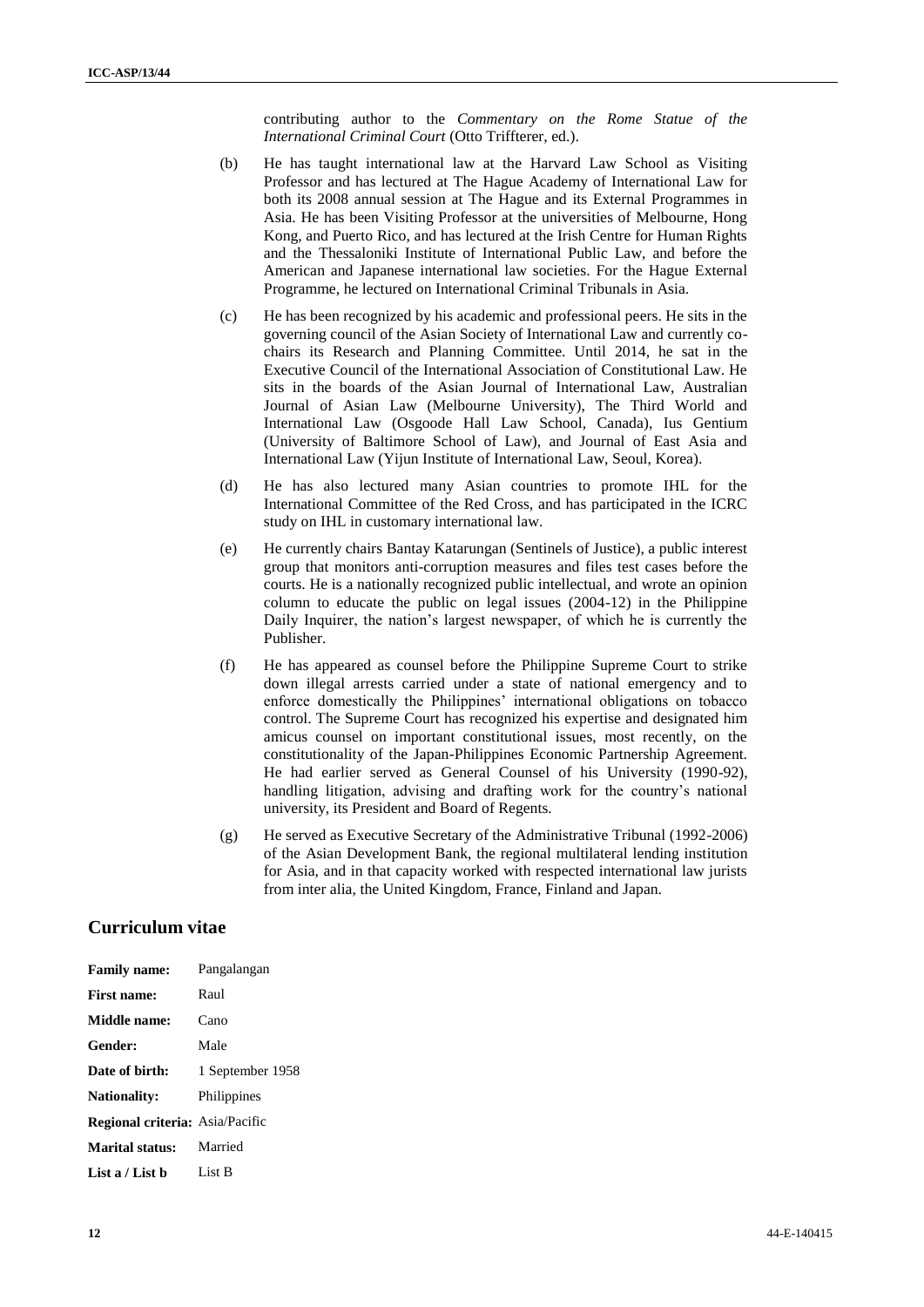contributing author to the *Commentary on the Rome Statue of the International Criminal Court* (Otto Triffterer, ed.).

- (b) He has taught international law at the Harvard Law School as Visiting Professor and has lectured at The Hague Academy of International Law for both its 2008 annual session at The Hague and its External Programmes in Asia. He has been Visiting Professor at the universities of Melbourne, Hong Kong, and Puerto Rico, and has lectured at the Irish Centre for Human Rights and the Thessaloniki Institute of International Public Law, and before the American and Japanese international law societies. For the Hague External Programme, he lectured on International Criminal Tribunals in Asia.
- (c) He has been recognized by his academic and professional peers. He sits in the governing council of the Asian Society of International Law and currently cochairs its Research and Planning Committee. Until 2014, he sat in the Executive Council of the International Association of Constitutional Law. He sits in the boards of the Asian Journal of International Law, Australian Journal of Asian Law (Melbourne University), The Third World and International Law (Osgoode Hall Law School, Canada), Ius Gentium (University of Baltimore School of Law), and Journal of East Asia and International Law (Yijun Institute of International Law, Seoul, Korea).
- (d) He has also lectured many Asian countries to promote IHL for the International Committee of the Red Cross, and has participated in the ICRC study on IHL in customary international law.
- (e) He currently chairs Bantay Katarungan (Sentinels of Justice), a public interest group that monitors anti-corruption measures and files test cases before the courts. He is a nationally recognized public intellectual, and wrote an opinion column to educate the public on legal issues (2004-12) in the Philippine Daily Inquirer, the nation's largest newspaper, of which he is currently the Publisher.
- (f) He has appeared as counsel before the Philippine Supreme Court to strike down illegal arrests carried under a state of national emergency and to enforce domestically the Philippines' international obligations on tobacco control. The Supreme Court has recognized his expertise and designated him amicus counsel on important constitutional issues, most recently, on the constitutionality of the Japan-Philippines Economic Partnership Agreement. He had earlier served as General Counsel of his University (1990-92), handling litigation, advising and drafting work for the country's national university, its President and Board of Regents.
- (g) He served as Executive Secretary of the Administrative Tribunal (1992-2006) of the Asian Development Bank, the regional multilateral lending institution for Asia, and in that capacity worked with respected international law jurists from inter alia, the United Kingdom, France, Finland and Japan.

## **Curriculum vitae**

| <b>Family name:</b>                    | Pangalangan      |
|----------------------------------------|------------------|
| <b>First name:</b>                     | Raul             |
| Middle name:                           | Cano             |
| Gender:                                | Male             |
| Date of birth:                         | 1 September 1958 |
| <b>Nationality:</b>                    | Philippines      |
| <b>Regional criteria:</b> Asia/Pacific |                  |
| <b>Marital status:</b>                 | Married          |
| List a / List b                        | List B           |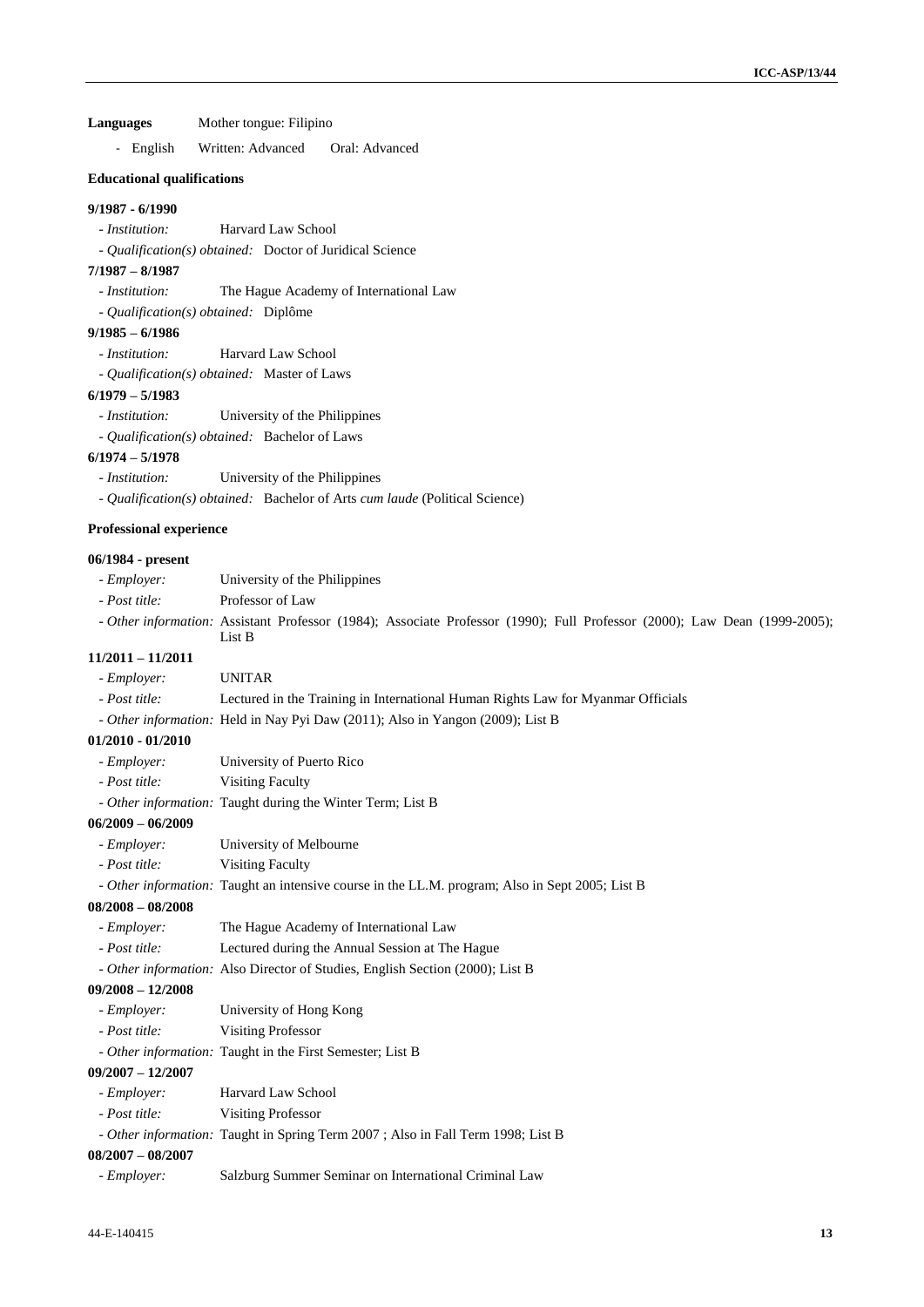**Languages** Mother tongue: Filipino

- English Written: Advanced Oral: Advanced

#### **Educational qualifications**

#### **9/1987 - 6/1990**

- *Institution:* Harvard Law School
- *Qualification(s) obtained:* Doctor of Juridical Science

#### **7/1987 – 8/1987**

- *Institution:* The Hague Academy of International Law
- *Qualification(s) obtained:* Diplôme

## **9/1985 – 6/1986**

- *Institution:* Harvard Law School
- *Qualification(s) obtained:* Master of Laws

#### **6/1979 – 5/1983**

- *Institution:* University of the Philippines
- *Qualification(s) obtained:* Bachelor of Laws

#### **6/1974 – 5/1978**

- *Institution:* University of the Philippines
- *Qualification(s) obtained:* Bachelor of Arts *cum laude* (Political Science)

#### **Professional experience**

#### **06/1984 - present**

| - Employer:         | University of the Philippines                                                                                                       |
|---------------------|-------------------------------------------------------------------------------------------------------------------------------------|
| - Post title:       | Professor of Law                                                                                                                    |
|                     | - Other information: Assistant Professor (1984); Associate Professor (1990); Full Professor (2000); Law Dean (1999-2005);<br>List B |
| $11/2011 - 11/2011$ |                                                                                                                                     |
| - <i>Employer</i> : | <b>UNITAR</b>                                                                                                                       |
| - Post title:       | Lectured in the Training in International Human Rights Law for Myanmar Officials                                                    |
|                     | - Other information: Held in Nay Pyi Daw (2011); Also in Yangon (2009); List B                                                      |
| $01/2010 - 01/2010$ |                                                                                                                                     |
| - Employer:         | University of Puerto Rico                                                                                                           |
| - Post title:       | <b>Visiting Faculty</b>                                                                                                             |
|                     | - Other information: Taught during the Winter Term; List B                                                                          |
| $06/2009 - 06/2009$ |                                                                                                                                     |
| - Employer:         | University of Melbourne                                                                                                             |
| - Post title:       | <b>Visiting Faculty</b>                                                                                                             |
|                     | - Other information: Taught an intensive course in the LL.M. program; Also in Sept 2005; List B                                     |
| $08/2008 - 08/2008$ |                                                                                                                                     |
| - Employer:         | The Hague Academy of International Law                                                                                              |
| - Post title:       | Lectured during the Annual Session at The Hague                                                                                     |
|                     | - Other information: Also Director of Studies, English Section (2000); List B                                                       |
| $09/2008 - 12/2008$ |                                                                                                                                     |
| - Employer:         | University of Hong Kong                                                                                                             |
| - Post title:       | <b>Visiting Professor</b>                                                                                                           |
|                     | - Other information: Taught in the First Semester; List B                                                                           |
| $09/2007 - 12/2007$ |                                                                                                                                     |
| - Employer:         | Harvard Law School                                                                                                                  |
| - Post title:       | <b>Visiting Professor</b>                                                                                                           |
|                     | - Other information: Taught in Spring Term 2007 ; Also in Fall Term 1998; List B                                                    |
| $08/2007 - 08/2007$ |                                                                                                                                     |
| - Employer:         | Salzburg Summer Seminar on International Criminal Law                                                                               |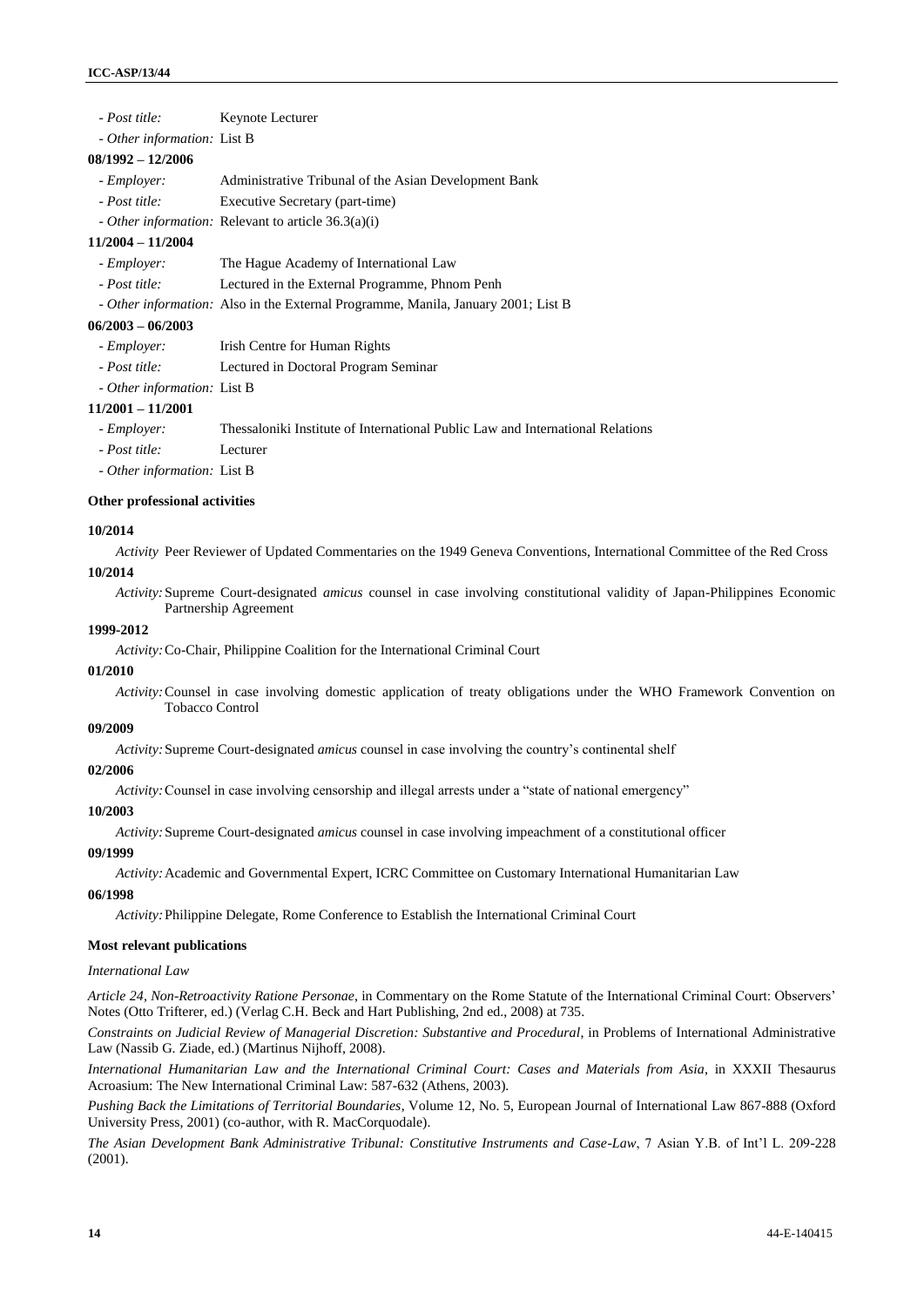| - Post title:               | Keynote Lecturer |
|-----------------------------|------------------|
| - Other information: List B |                  |

#### **08/1992 – 12/2006**

| - Employer:               |  |  |  | Administrative Tribunal of the Asian Development Bank |  |
|---------------------------|--|--|--|-------------------------------------------------------|--|
| $\mathbf{r}$ $\mathbf{r}$ |  |  |  |                                                       |  |

- *Post title:* Executive Secretary (part-time)
- *Other information:* Relevant to article 36.3(a)(i)

#### **11/2004 – 11/2004**

- *Employer:* The Hague Academy of International Law
- *Post title:* Lectured in the External Programme, Phnom Penh
- *Other information:* Also in the External Programme, Manila, January 2001; List B

#### **06/2003 – 06/2003**

- *Employer:* Irish Centre for Human Rights
- *Post title:* Lectured in Doctoral Program Seminar
- *Other information:* List B

#### **11/2001 – 11/2001**

- *Employer:* Thessaloniki Institute of International Public Law and International Relations

- *Post title:* Lecturer
- *Other information:* List B

#### **Other professional activities**

#### **10/2014**

*Activity* Peer Reviewer of Updated Commentaries on the 1949 Geneva Conventions, International Committee of the Red Cross **10/2014** 

*Activity:*Supreme Court-designated *amicus* counsel in case involving constitutional validity of Japan-Philippines Economic Partnership Agreement

#### **1999-2012**

*Activity:*Co-Chair, Philippine Coalition for the International Criminal Court

#### **01/2010**

*Activity:*Counsel in case involving domestic application of treaty obligations under the WHO Framework Convention on Tobacco Control

#### **09/2009**

*Activity:*Supreme Court-designated *amicus* counsel in case involving the country's continental shelf

#### **02/2006**

*Activity:*Counsel in case involving censorship and illegal arrests under a "state of national emergency"

### **10/2003**

*Activity:*Supreme Court-designated *amicus* counsel in case involving impeachment of a constitutional officer

#### **09/1999**

*Activity:*Academic and Governmental Expert, ICRC Committee on Customary International Humanitarian Law

#### **06/1998**

*Activity:*Philippine Delegate, Rome Conference to Establish the International Criminal Court

#### **Most relevant publications**

#### *International Law*

*Article 24, Non-Retroactivity Ratione Personae*, in Commentary on the Rome Statute of the International Criminal Court: Observers' Notes (Otto Trifterer, ed.) (Verlag C.H. Beck and Hart Publishing, 2nd ed., 2008) at 735.

*Constraints on Judicial Review of Managerial Discretion: Substantive and Procedural*, in Problems of International Administrative Law (Nassib G. Ziade, ed.) (Martinus Nijhoff, 2008).

*International Humanitarian Law and the International Criminal Court: Cases and Materials from Asia*, in XXXII Thesaurus Acroasium: The New International Criminal Law: 587-632 (Athens, 2003).

*Pushing Back the Limitations of Territorial Boundaries*, Volume 12, No. 5, European Journal of International Law 867-888 (Oxford University Press, 2001) (co-author, with R. MacCorquodale).

*The Asian Development Bank Administrative Tribunal: Constitutive Instruments and Case-Law*, 7 Asian Y.B. of Int'l L. 209-228 (2001).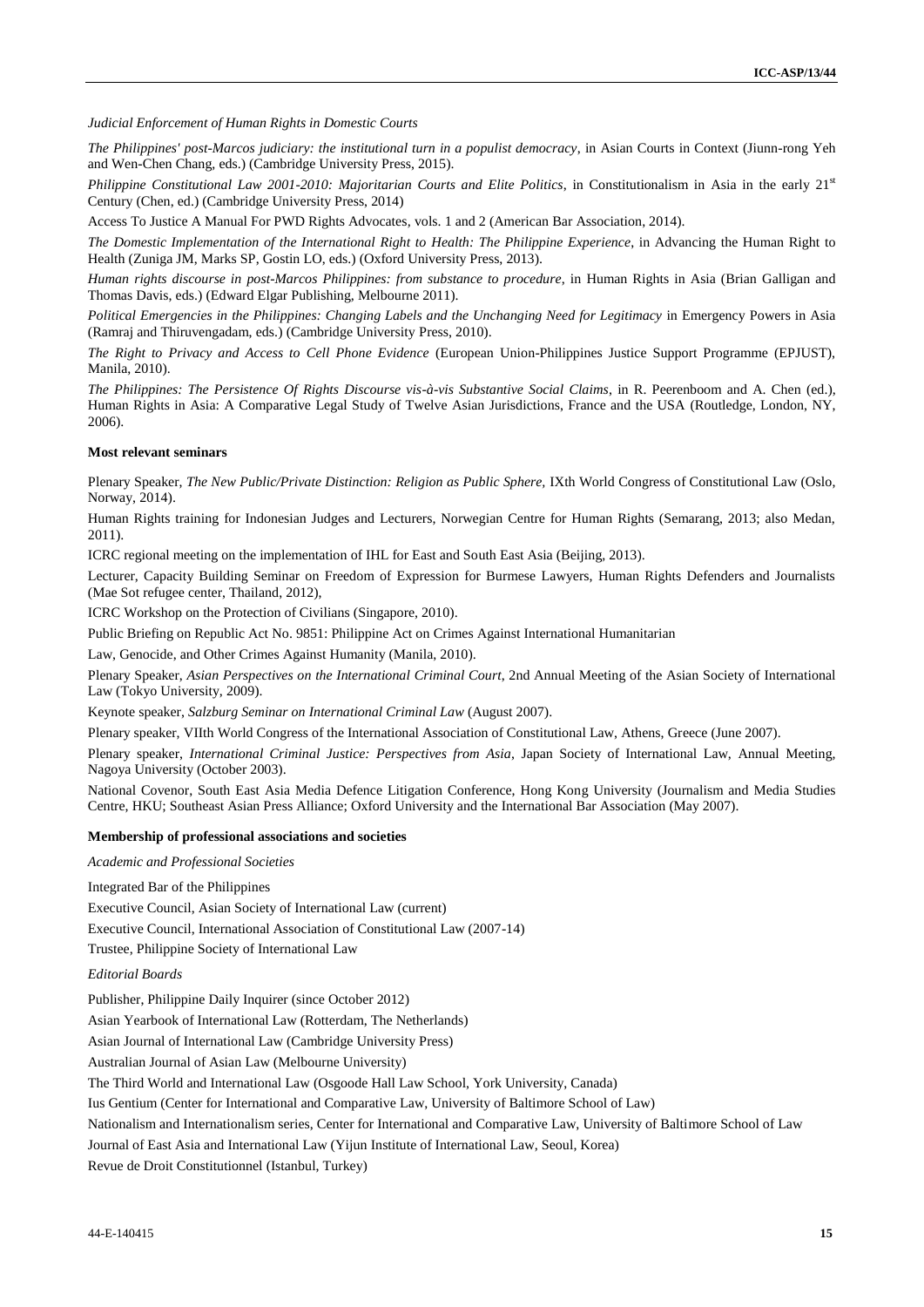*Judicial Enforcement of Human Rights in Domestic Courts*

*The Philippines' post-Marcos judiciary: the institutional turn in a populist democracy*, in Asian Courts in Context (Jiunn-rong Yeh and Wen-Chen Chang, eds.) (Cambridge University Press, 2015).

*Philippine Constitutional Law 2001-2010: Majoritarian Courts and Elite Politics*, in Constitutionalism in Asia in the early 21<sup>st</sup> Century (Chen, ed.) (Cambridge University Press, 2014)

Access To Justice A Manual For PWD Rights Advocates*,* vols. 1 and 2 (American Bar Association, 2014).

*The Domestic Implementation of the International Right to Health: The Philippine Experience*, in Advancing the Human Right to Health (Zuniga JM, Marks SP, Gostin LO, eds.) (Oxford University Press, 2013).

*Human rights discourse in post-Marcos Philippines: from substance to procedure*, in Human Rights in Asia (Brian Galligan and Thomas Davis, eds.) (Edward Elgar Publishing, Melbourne 2011).

*Political Emergencies in the Philippines: Changing Labels and the Unchanging Need for Legitimacy* in Emergency Powers in Asia (Ramraj and Thiruvengadam, eds.) (Cambridge University Press, 2010).

*The Right to Privacy and Access to Cell Phone Evidence* (European Union-Philippines Justice Support Programme (EPJUST), Manila, 2010).

*The Philippines: The Persistence Of Rights Discourse vis-à-vis Substantive Social Claims*, in R. Peerenboom and A. Chen (ed.), Human Rights in Asia: A Comparative Legal Study of Twelve Asian Jurisdictions, France and the USA (Routledge, London, NY, 2006).

#### **Most relevant seminars**

Plenary Speaker, *The New Public/Private Distinction: Religion as Public Sphere, IXth World Congress of Constitutional Law (Oslo,* Norway, 2014).

Human Rights training for Indonesian Judges and Lecturers, Norwegian Centre for Human Rights (Semarang, 2013; also Medan, 2011).

ICRC regional meeting on the implementation of IHL for East and South East Asia (Beijing, 2013).

Lecturer, Capacity Building Seminar on Freedom of Expression for Burmese Lawyers, Human Rights Defenders and Journalists (Mae Sot refugee center, Thailand, 2012),

ICRC Workshop on the Protection of Civilians (Singapore, 2010).

Public Briefing on Republic Act No. 9851: Philippine Act on Crimes Against International Humanitarian

Law, Genocide, and Other Crimes Against Humanity (Manila, 2010).

Plenary Speaker, *Asian Perspectives on the International Criminal Court*, 2nd Annual Meeting of the Asian Society of International Law (Tokyo University, 2009).

Keynote speaker, *Salzburg Seminar on International Criminal Law* (August 2007).

Plenary speaker, VIIth World Congress of the International Association of Constitutional Law, Athens, Greece (June 2007).

Plenary speaker, *International Criminal Justice: Perspectives from Asia*, Japan Society of International Law, Annual Meeting, Nagoya University (October 2003).

National Covenor, South East Asia Media Defence Litigation Conference, Hong Kong University (Journalism and Media Studies Centre, HKU; Southeast Asian Press Alliance; Oxford University and the International Bar Association (May 2007).

#### **Membership of professional associations and societies**

*Academic and Professional Societies*

Integrated Bar of the Philippines

Executive Council, Asian Society of International Law (current)

Executive Council, International Association of Constitutional Law (2007-14)

Trustee, Philippine Society of International Law

*Editorial Boards*

Publisher, Philippine Daily Inquirer (since October 2012)

Asian Yearbook of International Law (Rotterdam, The Netherlands)

Asian Journal of International Law (Cambridge University Press)

Australian Journal of Asian Law (Melbourne University)

The Third World and International Law (Osgoode Hall Law School, York University, Canada)

Ius Gentium (Center for International and Comparative Law, University of Baltimore School of Law)

Nationalism and Internationalism series, Center for International and Comparative Law, University of Baltimore School of Law

Journal of East Asia and International Law (Yijun Institute of International Law, Seoul, Korea)

Revue de Droit Constitutionnel (Istanbul, Turkey)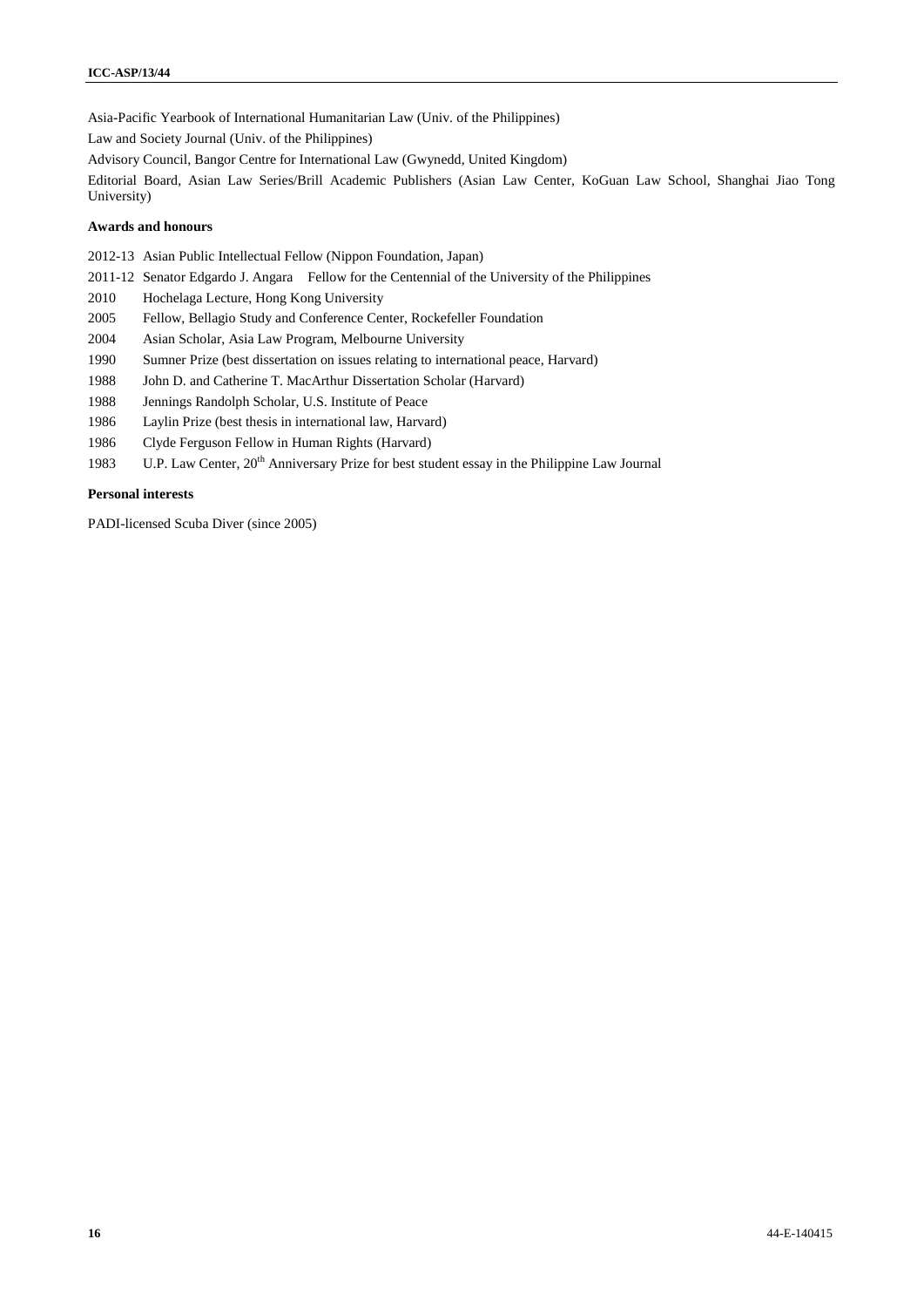Asia-Pacific Yearbook of International Humanitarian Law (Univ. of the Philippines)

Law and Society Journal (Univ. of the Philippines)

Advisory Council, Bangor Centre for International Law (Gwynedd, United Kingdom)

Editorial Board, Asian Law Series/Brill Academic Publishers (Asian Law Center, KoGuan Law School, Shanghai Jiao Tong University)

#### **Awards and honours**

2012-13 Asian Public Intellectual Fellow (Nippon Foundation, Japan)

2011-12 Senator Edgardo J. Angara Fellow for the Centennial of the University of the Philippines

- 2010 Hochelaga Lecture, Hong Kong University
- 2005 Fellow, Bellagio Study and Conference Center, Rockefeller Foundation
- 2004 Asian Scholar, Asia Law Program, Melbourne University
- 1990 Sumner Prize (best dissertation on issues relating to international peace, Harvard)
- 1988 John D. and Catherine T. MacArthur Dissertation Scholar (Harvard)
- 1988 Jennings Randolph Scholar, U.S. Institute of Peace
- 1986 Laylin Prize (best thesis in international law, Harvard)
- 1986 Clyde Ferguson Fellow in Human Rights (Harvard)
- 1983 U.P. Law Center, 20<sup>th</sup> Anniversary Prize for best student essay in the Philippine Law Journal

#### **Personal interests**

PADI-licensed Scuba Diver (since 2005)